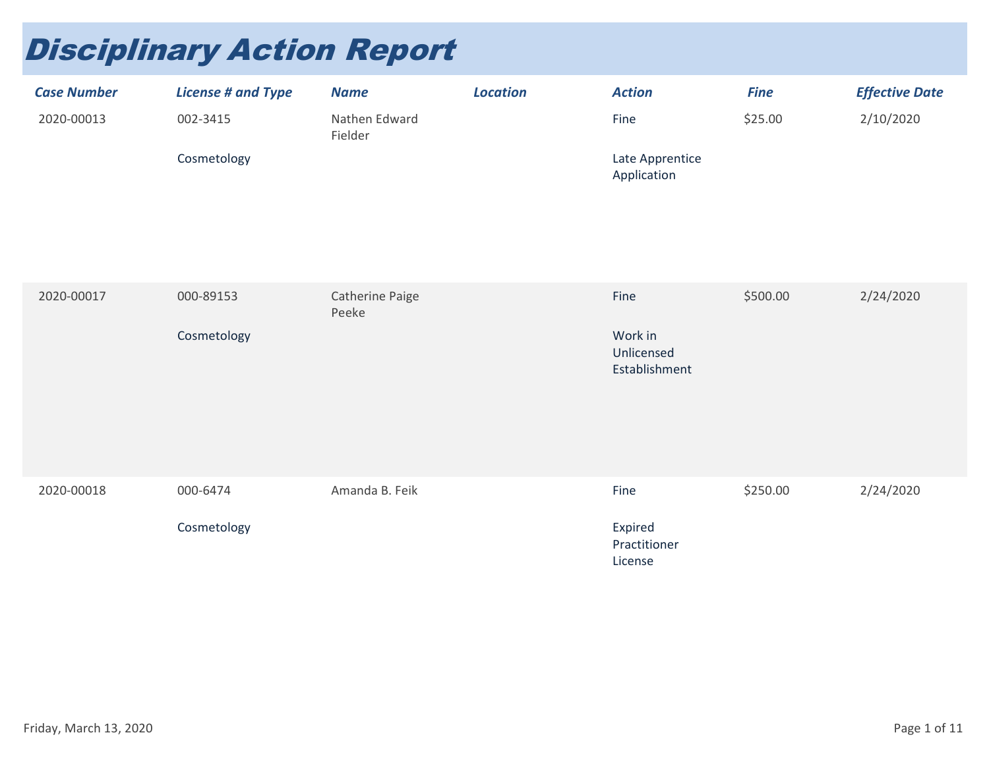## Disciplinary Action Report

| <b>Case Number</b> | <b>License # and Type</b> | <b>Name</b>              | <b>Location</b> | <b>Action</b>                  | <b>Fine</b> | <b>Effective Date</b> |
|--------------------|---------------------------|--------------------------|-----------------|--------------------------------|-------------|-----------------------|
| 2020-00013         | 002-3415                  | Nathen Edward<br>Fielder |                 | Fine                           | \$25.00     | 2/10/2020             |
|                    | Cosmetology               |                          |                 | Late Apprentice<br>Application |             |                       |

| 2020-00017 | 000-89153   | Catherine Paige<br>Peeke | Fine                                   | \$500.00 | 2/24/2020 |
|------------|-------------|--------------------------|----------------------------------------|----------|-----------|
|            | Cosmetology |                          | Work in<br>Unlicensed<br>Establishment |          |           |
| 2020-00018 | 000-6474    | Amanda B. Feik           | Fine                                   | \$250.00 | 2/24/2020 |
|            | Cosmetology |                          | Expired<br>Practitioner<br>License     |          |           |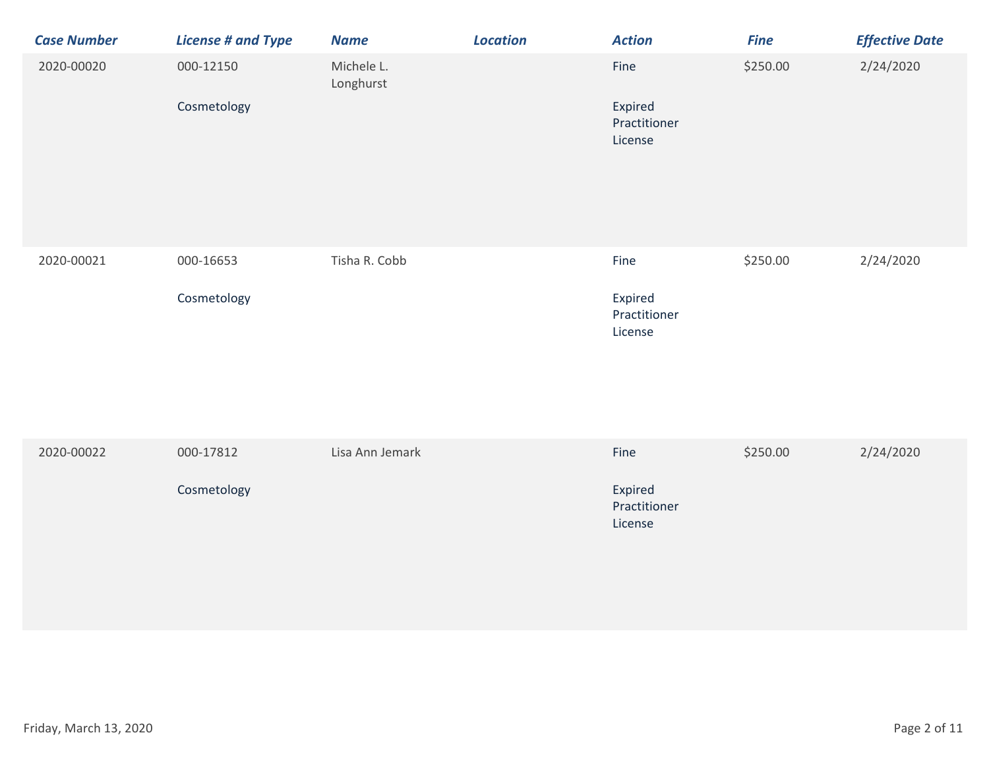| <b>Case Number</b> | <b>License # and Type</b> | <b>Name</b>             | <b>Location</b> | <b>Action</b>                              | <b>Fine</b> | <b>Effective Date</b> |
|--------------------|---------------------------|-------------------------|-----------------|--------------------------------------------|-------------|-----------------------|
| 2020-00020         | 000-12150                 | Michele L.<br>Longhurst |                 | Fine                                       | \$250.00    | 2/24/2020             |
|                    | Cosmetology               |                         |                 | Expired<br>Practitioner<br>License         |             |                       |
| 2020-00021         | 000-16653<br>Cosmetology  | Tisha R. Cobb           |                 | Fine<br>Expired<br>Practitioner<br>License | \$250.00    | 2/24/2020             |

| 2020-00022 | 000-17812   | Lisa Ann Jemark | Fine                               | \$250.00 | 2/24/2020 |
|------------|-------------|-----------------|------------------------------------|----------|-----------|
|            | Cosmetology |                 | Expired<br>Practitioner<br>License |          |           |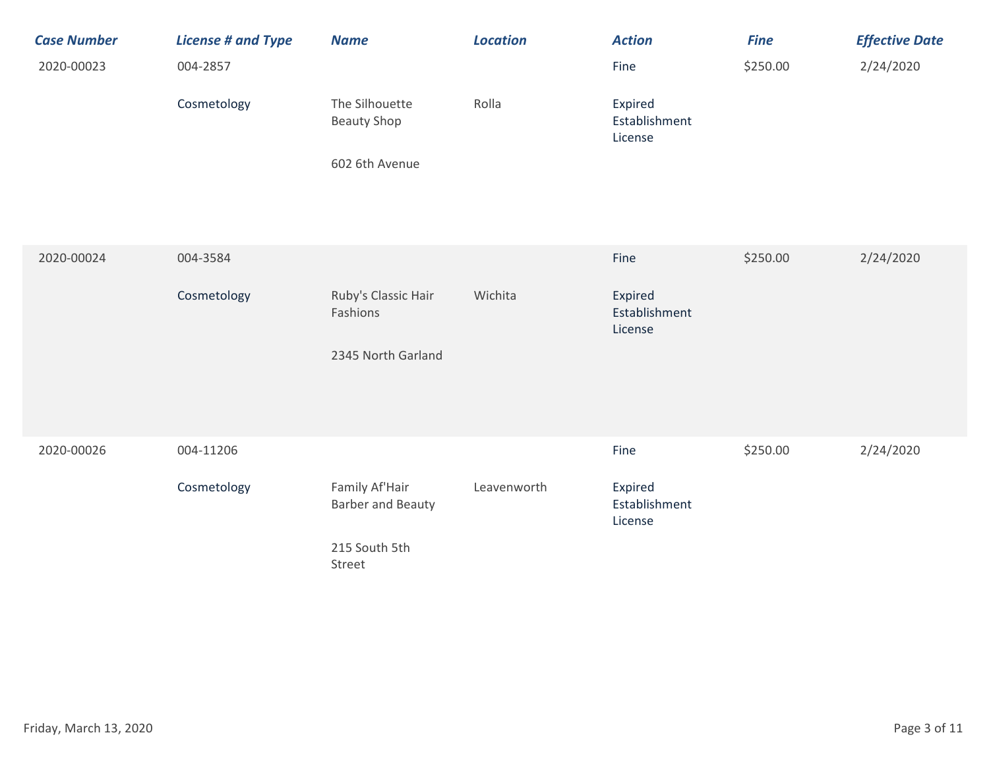| <b>Case Number</b><br>2020-00023 | <b>License # and Type</b><br>004-2857<br>Cosmetology | <b>Name</b><br>The Silhouette<br><b>Beauty Shop</b><br>602 6th Avenue | <b>Location</b><br>Rolla | <b>Action</b><br>Fine<br>Expired<br>Establishment<br>License | <b>Fine</b><br>\$250.00 | <b>Effective Date</b><br>2/24/2020 |
|----------------------------------|------------------------------------------------------|-----------------------------------------------------------------------|--------------------------|--------------------------------------------------------------|-------------------------|------------------------------------|
| 2020-00024                       | 004-3584<br>Cosmetology                              | Ruby's Classic Hair                                                   | Wichita                  | Fine<br>Expired                                              | \$250.00                | 2/24/2020                          |
|                                  |                                                      | Fashions<br>2345 North Garland                                        |                          | Establishment<br>License                                     |                         |                                    |
| 2020-00026                       | 004-11206<br>Cosmetology                             | Family Af'Hair<br><b>Barber and Beauty</b>                            | Leavenworth              | Fine<br>Expired<br>Establishment                             | \$250.00                | 2/24/2020                          |
|                                  |                                                      | 215 South 5th<br>Street                                               |                          | License                                                      |                         |                                    |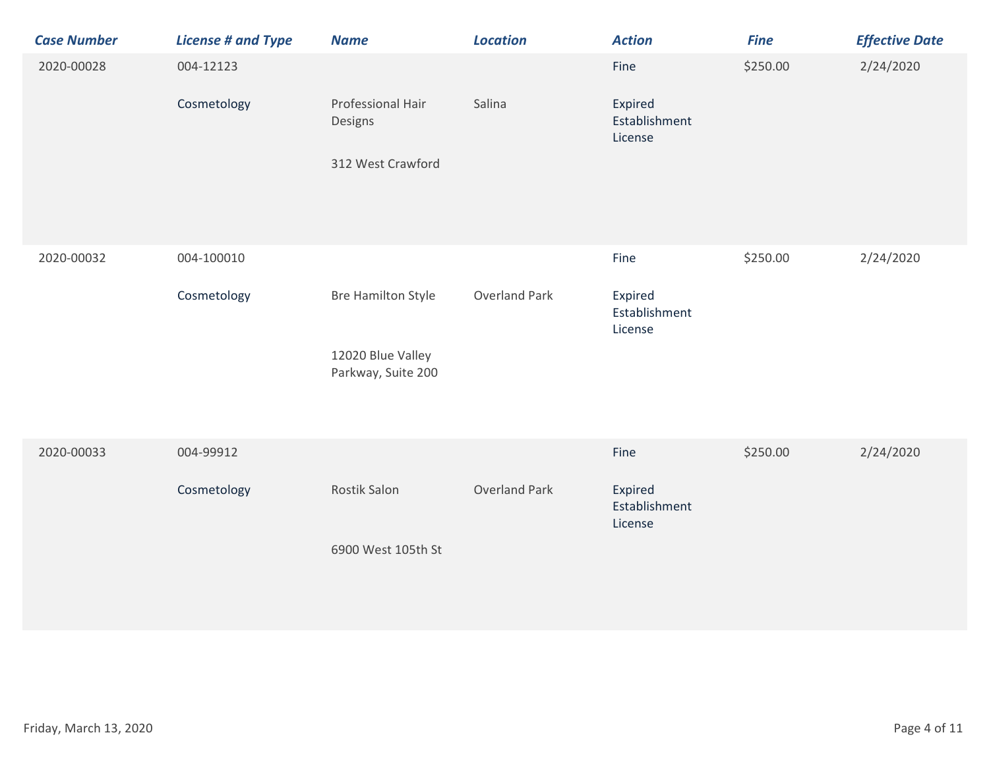| <b>Case Number</b> | <b>License # and Type</b> | <b>Name</b>                             | <b>Location</b>      | <b>Action</b>                       | <b>Fine</b> | <b>Effective Date</b> |
|--------------------|---------------------------|-----------------------------------------|----------------------|-------------------------------------|-------------|-----------------------|
| 2020-00028         | 004-12123                 |                                         |                      | Fine                                | \$250.00    | 2/24/2020             |
|                    | Cosmetology               | Professional Hair<br>Designs            | Salina               | Expired<br>Establishment<br>License |             |                       |
|                    |                           | 312 West Crawford                       |                      |                                     |             |                       |
| 2020-00032         | 004-100010                |                                         |                      | Fine                                | \$250.00    | 2/24/2020             |
|                    | Cosmetology               | <b>Bre Hamilton Style</b>               | <b>Overland Park</b> | Expired<br>Establishment<br>License |             |                       |
|                    |                           | 12020 Blue Valley<br>Parkway, Suite 200 |                      |                                     |             |                       |
| 2020-00033         | 004-99912                 |                                         |                      | Fine                                | \$250.00    | 2/24/2020             |
|                    | Cosmetology               | <b>Rostik Salon</b>                     | <b>Overland Park</b> | Expired<br>Establishment<br>License |             |                       |
|                    |                           | 6900 West 105th St                      |                      |                                     |             |                       |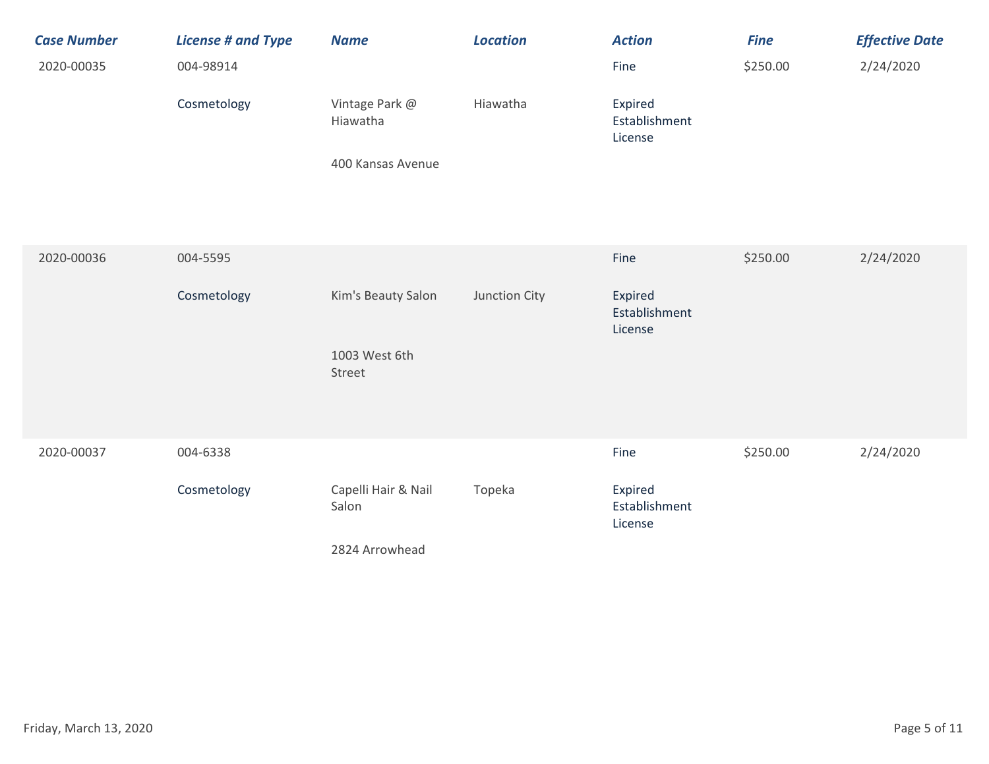| <b>Case Number</b><br>2020-00035 | <b>License # and Type</b><br>004-98914<br>Cosmetology | <b>Name</b><br>Vintage Park @<br>Hiawatha<br>400 Kansas Avenue | <b>Location</b><br>Hiawatha | <b>Action</b><br>Fine<br>Expired<br>Establishment<br>License | <b>Fine</b><br>\$250.00 | <b>Effective Date</b><br>2/24/2020 |
|----------------------------------|-------------------------------------------------------|----------------------------------------------------------------|-----------------------------|--------------------------------------------------------------|-------------------------|------------------------------------|
| 2020-00036                       | 004-5595<br>Cosmetology                               | Kim's Beauty Salon<br>1003 West 6th<br>Street                  | Junction City               | Fine<br>Expired<br>Establishment<br>License                  | \$250.00                | 2/24/2020                          |
| 2020-00037                       | 004-6338<br>Cosmetology                               | Capelli Hair & Nail<br>Salon<br>2824 Arrowhead                 | Topeka                      | Fine<br>Expired<br>Establishment<br>License                  | \$250.00                | 2/24/2020                          |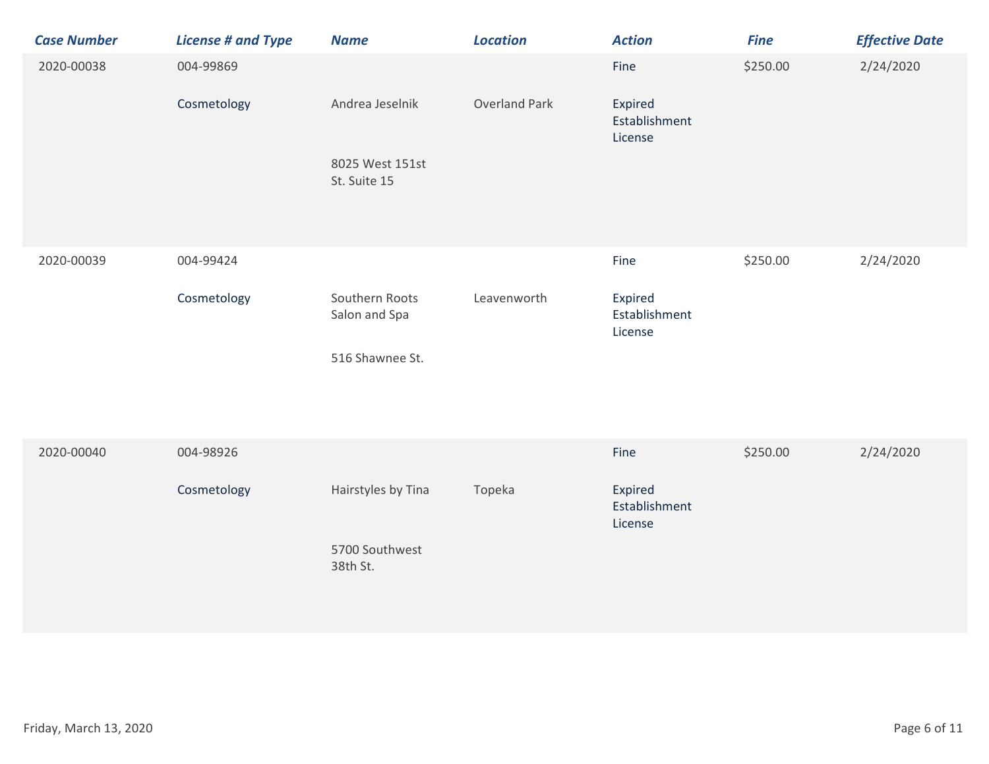| <b>Case Number</b> | <b>License # and Type</b> | <b>Name</b>                     | <b>Location</b>      | <b>Action</b>                       | <b>Fine</b> | <b>Effective Date</b> |
|--------------------|---------------------------|---------------------------------|----------------------|-------------------------------------|-------------|-----------------------|
| 2020-00038         | 004-99869                 |                                 |                      | Fine                                | \$250.00    | 2/24/2020             |
|                    | Cosmetology               | Andrea Jeselnik                 | <b>Overland Park</b> | Expired<br>Establishment<br>License |             |                       |
|                    |                           | 8025 West 151st<br>St. Suite 15 |                      |                                     |             |                       |
|                    |                           |                                 |                      |                                     |             |                       |
| 2020-00039         | 004-99424                 |                                 |                      | Fine                                | \$250.00    | 2/24/2020             |
|                    | Cosmetology               | Southern Roots<br>Salon and Spa | Leavenworth          | Expired<br>Establishment<br>License |             |                       |
|                    |                           | 516 Shawnee St.                 |                      |                                     |             |                       |
| 2020-00040         | 004-98926                 |                                 |                      | Fine                                | \$250.00    | 2/24/2020             |
|                    | Cosmetology               | Hairstyles by Tina              | Topeka               | Expired<br>Establishment<br>License |             |                       |
|                    |                           | 5700 Southwest<br>38th St.      |                      |                                     |             |                       |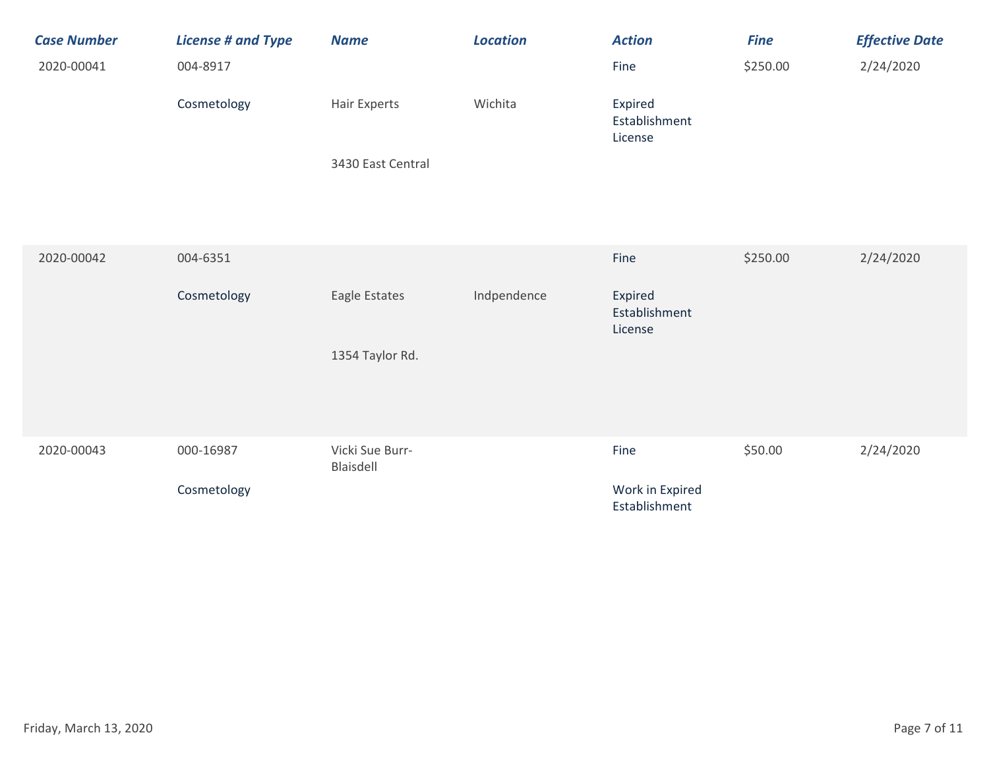| <b>Case Number</b><br>2020-00041 | <b>License # and Type</b><br>004-8917 | <b>Name</b>                  | <b>Location</b> | <b>Action</b><br>Fine               | <b>Fine</b><br>\$250.00 | <b>Effective Date</b><br>2/24/2020 |
|----------------------------------|---------------------------------------|------------------------------|-----------------|-------------------------------------|-------------------------|------------------------------------|
|                                  | Cosmetology                           | Hair Experts                 | Wichita         | Expired<br>Establishment<br>License |                         |                                    |
|                                  |                                       | 3430 East Central            |                 |                                     |                         |                                    |
| 2020-00042                       | 004-6351                              |                              |                 | Fine                                | \$250.00                | 2/24/2020                          |
|                                  | Cosmetology                           | Eagle Estates                | Indpendence     | Expired<br>Establishment<br>License |                         |                                    |
|                                  |                                       | 1354 Taylor Rd.              |                 |                                     |                         |                                    |
| 2020-00043                       | 000-16987                             | Vicki Sue Burr-<br>Blaisdell |                 | Fine                                | \$50.00                 | 2/24/2020                          |
|                                  | Cosmetology                           |                              |                 | Work in Expired<br>Establishment    |                         |                                    |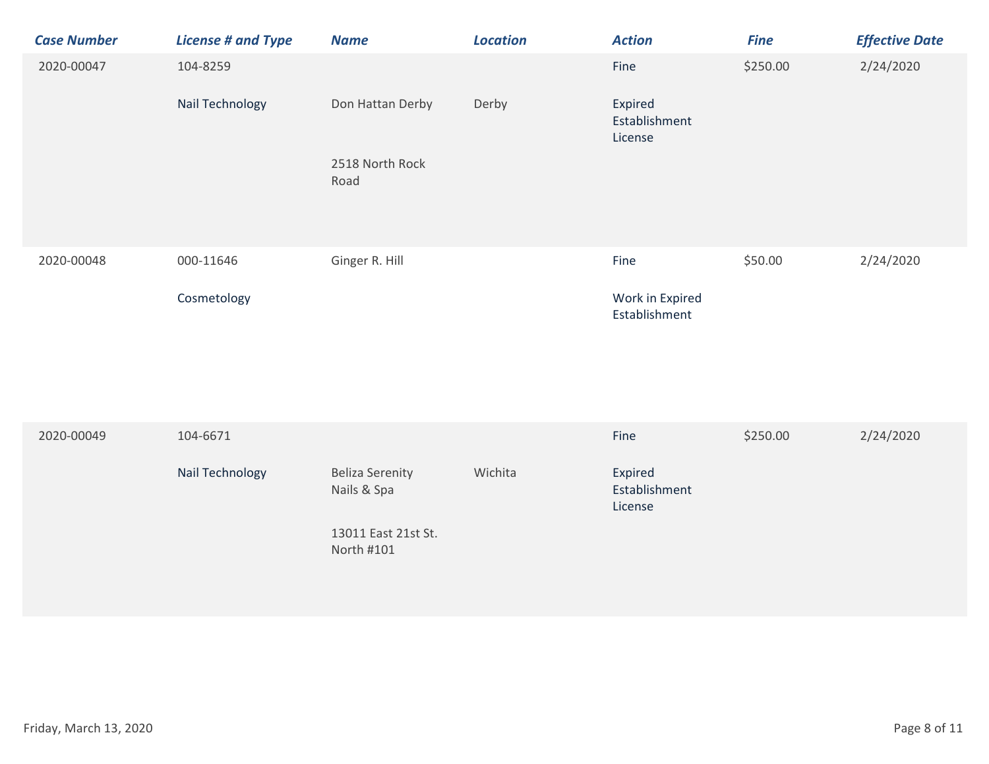| <b>Case Number</b> | <b>License # and Type</b> | <b>Name</b>                           | <b>Location</b> | <b>Action</b>                       | <b>Fine</b> | <b>Effective Date</b> |
|--------------------|---------------------------|---------------------------------------|-----------------|-------------------------------------|-------------|-----------------------|
| 2020-00047         | 104-8259                  |                                       |                 | Fine                                | \$250.00    | 2/24/2020             |
|                    | Nail Technology           | Don Hattan Derby                      | Derby           | Expired<br>Establishment<br>License |             |                       |
|                    |                           | 2518 North Rock<br>Road               |                 |                                     |             |                       |
| 2020-00048         | 000-11646                 | Ginger R. Hill                        |                 | Fine                                | \$50.00     | 2/24/2020             |
|                    | Cosmetology               |                                       |                 | Work in Expired<br>Establishment    |             |                       |
|                    |                           |                                       |                 |                                     |             |                       |
| 2020-00049         | 104-6671                  |                                       |                 | Fine                                | \$250.00    | 2/24/2020             |
|                    | Nail Technology           | <b>Beliza Serenity</b><br>Nails & Spa | Wichita         | Expired<br>Establishment<br>License |             |                       |

13011 East 21st St. North #101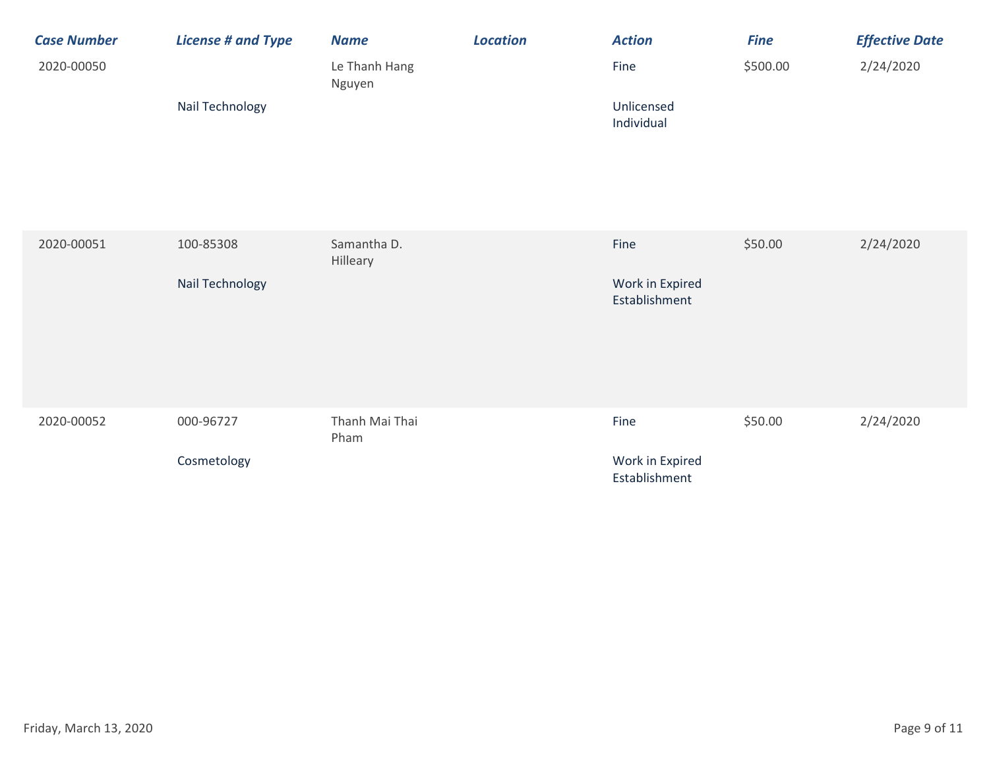| <b>Case Number</b> | <b>License # and Type</b>    | <b>Name</b>             | <b>Location</b> | <b>Action</b>                            | <b>Fine</b> | <b>Effective Date</b> |
|--------------------|------------------------------|-------------------------|-----------------|------------------------------------------|-------------|-----------------------|
| 2020-00050         |                              | Le Thanh Hang<br>Nguyen |                 | Fine                                     | \$500.00    | 2/24/2020             |
|                    | Nail Technology              |                         |                 | Unlicensed<br>Individual                 |             |                       |
| 2020-00051         | 100-85308<br>Nail Technology | Samantha D.<br>Hilleary |                 | Fine<br>Work in Expired<br>Establishment | \$50.00     | 2/24/2020             |
| 2020-00052         | 000-96727<br>Cosmetology     | Thanh Mai Thai<br>Pham  |                 | Fine<br>Work in Expired<br>Establishment | \$50.00     | 2/24/2020             |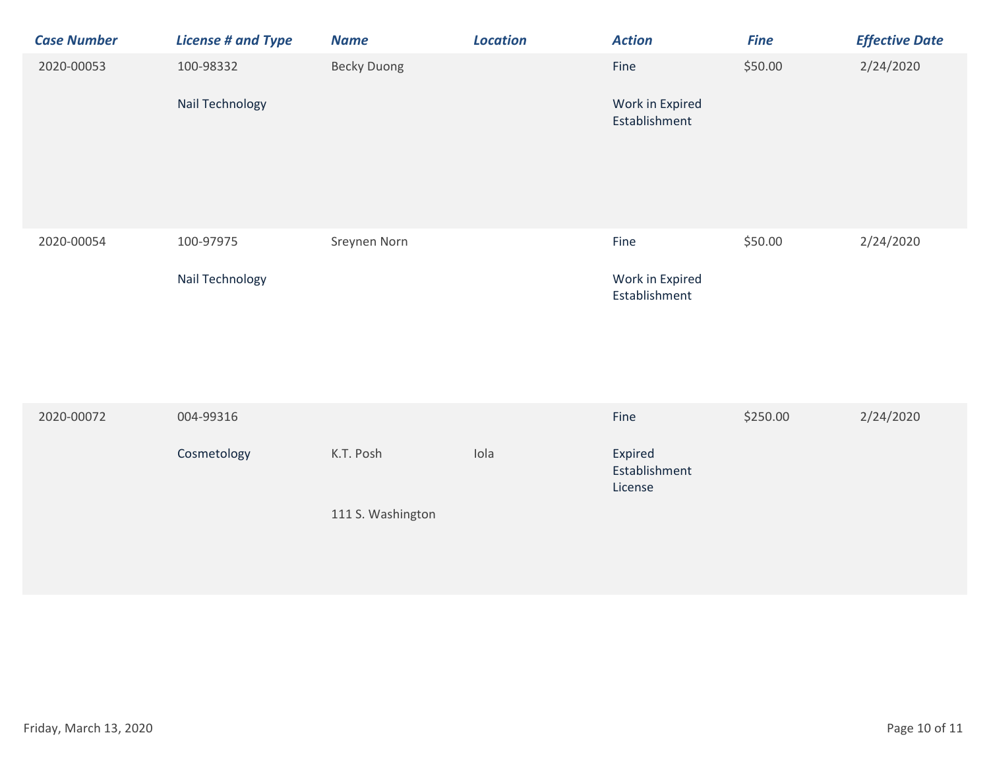| <b>Case Number</b> | <b>License # and Type</b>    | <b>Name</b>                    | <b>Location</b> | <b>Action</b>                               | <b>Fine</b> | <b>Effective Date</b> |
|--------------------|------------------------------|--------------------------------|-----------------|---------------------------------------------|-------------|-----------------------|
| 2020-00053         | 100-98332<br>Nail Technology | <b>Becky Duong</b>             |                 | Fine<br>Work in Expired<br>Establishment    | \$50.00     | 2/24/2020             |
| 2020-00054         | 100-97975<br>Nail Technology | Sreynen Norn                   |                 | Fine<br>Work in Expired<br>Establishment    | \$50.00     | 2/24/2020             |
| 2020-00072         | 004-99316<br>Cosmetology     | K.T. Posh<br>111 S. Washington | Iola            | Fine<br>Expired<br>Establishment<br>License | \$250.00    | 2/24/2020             |
|                    |                              |                                |                 |                                             |             |                       |